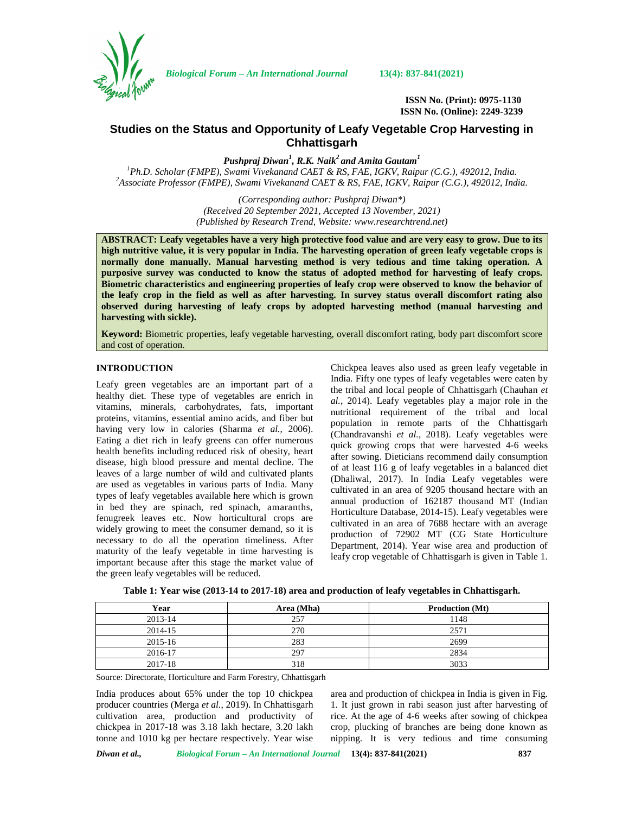

*Biological Forum – An International Journal* **13(4): 837-841(2021)**

**ISSN No. (Print): 0975-1130 ISSN No. (Online): 2249-3239**

# **Studies on the Status and Opportunity of Leafy Vegetable Crop Harvesting in Chhattisgarh**

*Pushpraj Diwan<sup>1</sup> , R.K. Naik<sup>2</sup> and Amita Gautam<sup>1</sup>*

*<sup>1</sup>Ph.D. Scholar (FMPE), Swami Vivekanand CAET & RS, FAE, IGKV, Raipur (C.G.), 492012, India. <sup>2</sup>Associate Professor (FMPE), Swami Vivekanand CAET & RS, FAE, IGKV, Raipur (C.G.), 492012, India.*

*(Corresponding author: Pushpraj Diwan\*) (Received 20 September 2021, Accepted 13 November, 2021) (Published by Research Trend, Website: [www.researchtrend.net\)](www.researchtrend.net)*

**ABSTRACT: Leafy vegetables have a very high protective food value and are very easy to grow. Due to its high nutritive value, it is very popular in India. The harvesting operation of green leafy vegetable crops is normally done manually. Manual harvesting method is very tedious and time taking operation. A purposive survey was conducted to know the status of adopted method for harvesting of leafy crops. Biometric characteristics and engineering properties of leafy crop were observed to know the behavior of the leafy crop in the field as well as after harvesting. In survey status overall discomfort rating also observed during harvesting of leafy crops by adopted harvesting method (manual harvesting and harvesting with sickle).**

**Keyword:** Biometric properties, leafy vegetable harvesting, overall discomfort rating, body part discomfort score and cost of operation.

## **INTRODUCTION**

Leafy green vegetables are an important part of a healthy diet. These type of vegetables are enrich in vitamins, minerals, carbohydrates, fats, important proteins, vitamins, essential amino acids, and fiber but having very low in calories (Sharma *et al.*, 2006). Eating a diet rich in leafy greens can offer numerous health benefits including reduced risk of obesity, heart disease, high blood pressure and mental decline. The leaves of a large number of wild and cultivated plants are used as vegetables in various parts of India. Many types of leafy vegetables available here which is grown in bed they are spinach, red spinach, amaranths, fenugreek leaves etc. Now horticultural crops are widely growing to meet the consumer demand, so it is necessary to do all the operation timeliness. After maturity of the leafy vegetable in time harvesting is important because after this stage the market value of the green leafy vegetables will be reduced.

Chickpea leaves also used as green leafy vegetable in India. Fifty one types of leafy vegetables were eaten by the tribal and local people of Chhattisgarh (Chauhan *et al.*, 2014). Leafy vegetables play a major role in the nutritional requirement of the tribal and local population in remote parts of the Chhattisgarh (Chandravanshi *et al.*, 2018). Leafy vegetables were quick growing crops that were harvested 4-6 weeks after sowing. Dieticians recommend daily consumption of at least 116 g of leafy vegetables in a balanced diet (Dhaliwal, 2017). In India Leafy vegetables were cultivated in an area of 9205 thousand hectare with an annual production of 162187 thousand MT (Indian Horticulture Database, 2014-15). Leafy vegetables were cultivated in an area of 7688 hectare with an average production of 72902 MT (CG State Horticulture Department, 2014). Year wise area and production of leafy crop vegetable of Chhattisgarh is given in Table 1.

| Year    | Area (Mha) | <b>Production</b> (Mt) |
|---------|------------|------------------------|
| 2013-14 | 257        | 1148                   |
| 2014-15 | 270        | 2571                   |
| 2015-16 | 283        | 2699                   |
| 2016-17 | 297        | 2834                   |
| 2017-18 | 318        | 3033                   |

|  | Table 1: Year wise (2013-14 to 2017-18) area and production of leafy vegetables in Chhattisgarh. |  |
|--|--------------------------------------------------------------------------------------------------|--|
|  |                                                                                                  |  |

Source: Directorate, Horticulture and Farm Forestry, Chhattisgarh

India produces about 65% under the top 10 chickpea producer countries (Merga *et al.*, 2019). In Chhattisgarh cultivation area, production and productivity of chickpea in 2017-18 was 3.18 lakh hectare, 3.20 lakh tonne and 1010 kg per hectare respectively. Year wise

area and production of chickpea in India is given in Fig. 1. It just grown in rabi season just after harvesting of rice. At the age of 4-6 weeks after sowing of chickpea crop, plucking of branches are being done known as nipping. It is very tedious and time consuming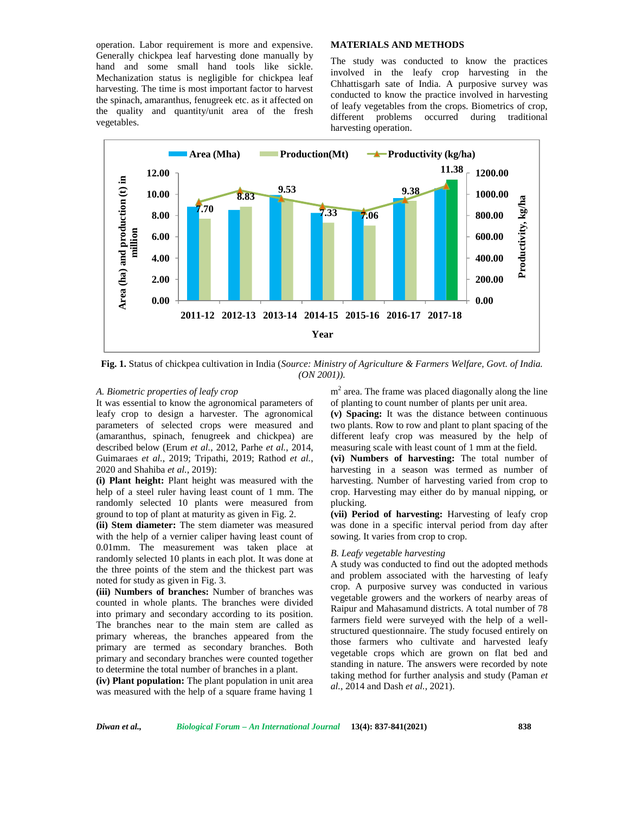operation. Labor requirement is more and expensive. Generally chickpea leaf harvesting done manually by hand and some small hand tools like sickle. Mechanization status is negligible for chickpea leaf harvesting. The time is most important factor to harvest the spinach, amaranthus, fenugreek etc. as it affected on the quality and quantity/unit area of the fresh different problems vegetables.

## **MATERIALS AND METHODS**

The study was conducted to know the practices involved in the leafy crop harvesting in the Chhattisgarh sate of India. A purposive survey was conducted to know the practice involved in harvesting of leafy vegetables from the crops. Biometrics of crop, occurred during traditional harvesting operation.



**Fig. 1.** Status of chickpea cultivation in India (*Source: Ministry of Agriculture & Farmers Welfare, Govt. of India. (ON 2001)).*

## *A. Biometric properties of leafy crop*

It was essential to know the agronomical parameters of leafy crop to design a harvester. The agronomical parameters of selected crops were measured and (amaranthus, spinach, fenugreek and chickpea) are described below (Erum *et al.*, 2012, Parhe *et al.*, 2014, Guimaraes *et al.*, 2019; Tripathi, 2019; Rathod *et al.*, 2020 and Shahiba *et al.*, 2019):

**(i) Plant height:** Plant height was measured with the help of a steel ruler having least count of 1 mm. The randomly selected 10 plants were measured from ground to top of plant at maturity as given in Fig. 2.

**(ii) Stem diameter:** The stem diameter was measured with the help of a vernier caliper having least count of 0.01mm. The measurement was taken place at randomly selected 10 plants in each plot. It was done at the three points of the stem and the thickest part was noted for study as given in Fig. 3.

**(iii) Numbers of branches:** Number of branches was counted in whole plants. The branches were divided into primary and secondary according to its position. The branches near to the main stem are called as primary whereas, the branches appeared from the primary are termed as secondary branches. Both primary and secondary branches were counted together to determine the total number of branches in a plant.

**(iv) Plant population:** The plant population in unit area was measured with the help of a square frame having 1

m<sup>2</sup> area. The frame was placed diagonally along the line of planting to count number of plants per unit area.

**(v) Spacing:** It was the distance between continuous two plants. Row to row and plant to plant spacing of the different leafy crop was measured by the help of measuring scale with least count of 1 mm at the field.

**(vi) Numbers of harvesting:** The total number of harvesting in a season was termed as number of harvesting. Number of harvesting varied from crop to crop. Harvesting may either do by manual nipping, or plucking.

**(vii) Period of harvesting:** Harvesting of leafy crop was done in a specific interval period from day after sowing. It varies from crop to crop.

#### *B. Leafy vegetable harvesting*

A study was conducted to find out the adopted methods and problem associated with the harvesting of leafy crop. A purposive survey was conducted in various vegetable growers and the workers of nearby areas of Raipur and Mahasamund districts. A total number of 78 farmers field were surveyed with the help of a well structured questionnaire. The study focused entirely on those farmers who cultivate and harvested leafy vegetable crops which are grown on flat bed and standing in nature. The answers were recorded by note taking method for further analysis and study (Paman *et al.*, 2014 and Dash *et al.*, 2021).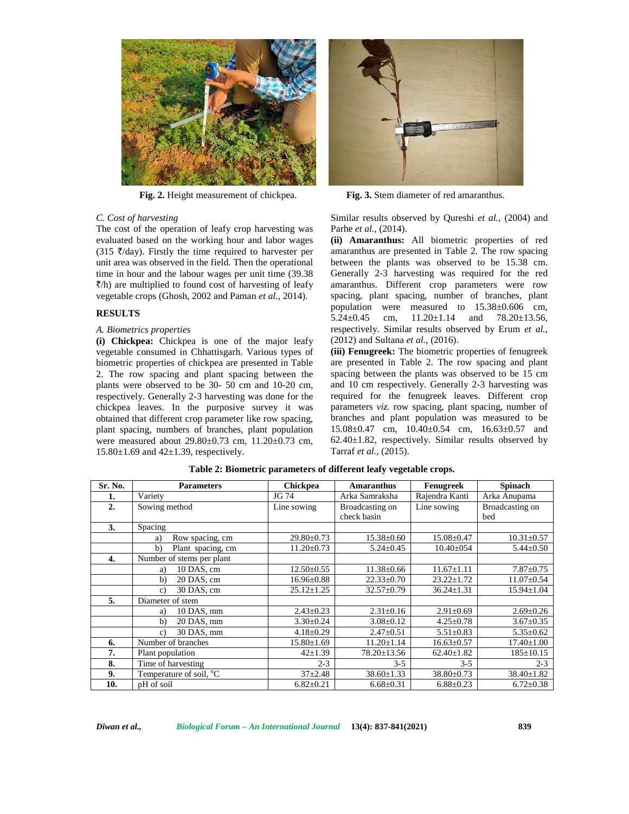

**Fig. 2.** Height measurement of chickpea. **Fig. 3.** Stem diameter of red amaranthus.

#### *C. Cost of harvesting*

The cost of the operation of leafy crop harvesting was evaluated based on the working hour and labor wages (315  $\bar{\zeta}$ /day). Firstly the time required to harvester per unit area was observed in the field. Then the operational time in hour and the labour wages per unit time (39.38  $\bar{\zeta}/h$ ) are multiplied to found cost of harvesting of leafy vegetable crops (Ghosh, 2002 and Paman *et al.*, 2014).

## **RESULTS**

#### *A. Biometrics properties*

**(i) Chickpea:** Chickpea is one of the major leafy vegetable consumed in Chhattisgarh. Various types of biometric properties of chickpea are presented in Table 2. The row spacing and plant spacing between the plants were observed to be 30- 50 cm and 10-20 cm, respectively. Generally 2-3 harvesting was done for the chickpea leaves. In the purposive survey it was obtained that different crop parameter like row spacing, plant spacing, numbers of branches, plant population were measured about 29.80±0.73 cm, 11.20±0.73 cm,  $15.80 \pm 1.69$  and  $42 \pm 1.39$ , respectively.



Similar results observed by Qureshi *et al.*, (2004) and Parhe *et al.*, (2014).

**(ii) Amaranthus:** All biometric properties of red amaranthus are presented in Table 2. The row spacing between the plants was observed to be 15.38 cm. Generally 2-3 harvesting was required for the red amaranthus. Different crop parameters were row spacing, plant spacing, number of branches, plant population were measured to 15.38±0.606 cm, 5.24 $\pm$ 0.45 cm, 11.20 $\pm$ 1.14 and 78.20 $\pm$ 13.56, respectively. Similar results observed by Erum *et al.*, (2012) and Sultana *et al.*, (2016).

**(iii) Fenugreek:** The biometric properties of fenugreek are presented in Table 2. The row spacing and plant spacing between the plants was observed to be 15 cm and 10 cm respectively. Generally 2-3 harvesting was required for the fenugreek leaves. Different crop parameters *viz.* row spacing, plant spacing, number of branches and plant population was measured to be 15.08±0.47 cm, 10.40±0.54 cm, 16.63±0.57 and  $62.40 \pm 1.82$ , respectively. Similar results observed by Tarraf *et al.*, (2015).

| Sr. No. | <b>Parameters</b>                   | <b>Chickpea</b>  | <b>Amaranthus</b>              | Fenugreek        | <b>Spinach</b>         |
|---------|-------------------------------------|------------------|--------------------------------|------------------|------------------------|
| 1.      | Variety                             | JG 74            | Arka Samraksha                 | Rajendra Kanti   | Arka Anupama           |
| 2.      | Sowing method                       | Line sowing      | Broadcasting on<br>check basin | Line sowing      | Broadcasting on<br>bed |
| 3.      | Spacing                             |                  |                                |                  |                        |
|         | Row spacing, cm<br>a)               | $29.80 \pm 0.73$ | 15.38±0.60                     | $15.08 \pm 0.47$ | $10.31 \pm 0.57$       |
|         | b)<br>Plant spacing, cm             | $11.20 \pm 0.73$ | $5.24 \pm 0.45$                | $10.40 \pm 0.54$ | $5.44 \pm 0.50$        |
| 4.      | Number of stems per plant           |                  |                                |                  |                        |
|         | 10 DAS, cm<br>a)                    | $12.50 \pm 0.55$ | $11.38 \pm 0.66$               | $11.67 \pm 1.11$ | $7.87 \pm 0.75$        |
|         | b)<br>20 DAS, cm                    | $16.96 \pm 0.88$ | $22.33 \pm 0.70$               | $23.22 \pm 1.72$ | $11.07 \pm 0.54$       |
|         | 30 DAS, cm<br>c)                    | $25.12 \pm 1.25$ | $32.57 \pm 0.79$               | $36.24 \pm 1.31$ | $15.94 \pm 1.04$       |
| 5.      | Diameter of stem                    |                  |                                |                  |                        |
|         | 10 DAS, mm<br>a)                    | $2.43 \pm 0.23$  | $2.31 \pm 0.16$                | $2.91 \pm 0.69$  | $2.69 \pm 0.26$        |
|         | b)<br>20 DAS, mm                    | $3.30 \pm 0.24$  | $3.08 \pm 0.12$                | $4.25 \pm 0.78$  | $3.67 \pm 0.35$        |
|         | 30 DAS, mm<br>c)                    | $4.18 \pm 0.29$  | $2.47 \pm 0.51$                | $5.51 \pm 0.83$  | $5.35 \pm 0.62$        |
| 6.      | Number of branches                  | 15.80±1.69       | $11.20 \pm 1.14$               | $16.63 \pm 0.57$ | $17.40 \pm 1.00$       |
| 7.      | Plant population                    | $42 \pm 1.39$    | $78.20 \pm 13.56$              | $62.40 \pm 1.82$ | $185 \pm 10.15$        |
| 8.      | Time of harvesting                  | $2 - 3$          | $3 - 5$                        | $3 - 5$          | $2 - 3$                |
| 9.      | Temperature of soil, <sup>o</sup> C | $37+2.48$        | $38.60 \pm 1.33$               | $38.80 \pm 0.73$ | $38.40 \pm 1.82$       |
| 10.     | pH of soil                          | $6.82 \pm 0.21$  | $6.68 \pm 0.31$                | $6.88 \pm 0.23$  | $6.72 \pm 0.38$        |

**Table 2: Biometric parameters of different leafy vegetable crops.**

*Diwan et al., Biological Forum – An International Journal* **13(4): 837-841(2021) 839**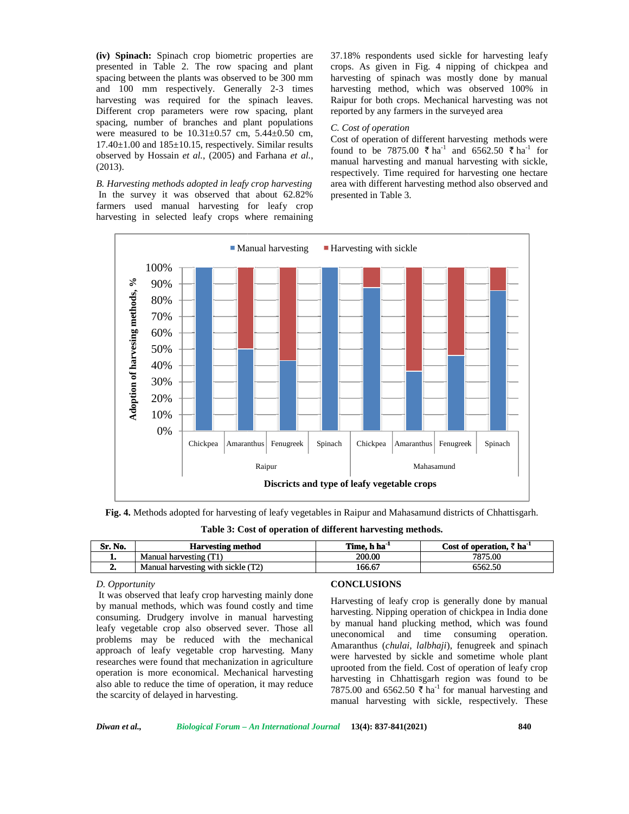**(iv) Spinach:** Spinach crop biometric properties are presented in Table 2. The row spacing and plant spacing between the plants was observed to be 300 mm and 100 mm respectively. Generally 2-3 times harvesting was required for the spinach leaves. Different crop parameters were row spacing, plant spacing, number of branches and plant populations were measured to be  $10.31 \pm 0.57$  cm,  $5.44 \pm 0.50$  cm,  $17.40\pm1.00$  and  $185\pm10.15$ , respectively. Similar results observed by Hossain *et al.*, (2005) and Farhana *et al.*, (2013).

*B. Harvesting methods adopted in leafy crop harvesting* In the survey it was observed that about 62.82% farmers used manual harvesting for leafy crop harvesting in selected leafy crops where remaining 37.18% respondents used sickle for harvesting leafy crops. As given in Fig. 4 nipping of chickpea and harvesting of spinach was mostly done by manual harvesting method, which was observed 100% in Raipur for both crops. Mechanical harvesting was not reported by any farmers in the surveyed area As given in Fig. 4 nipping of chickpea and<br>ng of spinach was mostly done by manual<br>ng method, which was observed 100% in<br>for both crops. Mechanical harvesting was not

#### *C. Cost of operation Cost*

Cost of operation of different harvesting methods were found to be 7875.00  $\bar{\tau}$  ha<sup>-1</sup> and 6562.50  $\bar{\tau}$  ha<sup>-1</sup> for manual harvesting and manual harvesting with sickle, respectively. Time required for harvesting one hectare area with different harvesting method also obse manual harvesting and manual harvesting with sickle, respectively. Time required for harvesting one hectare area with different harvesting method also observed and presented in Table 3.



**Fig. 4.** Methods adopted for harvesting of leafy vegetables in Raipur and Mahasamund districts of Chhattisgarh.

**Table 3: Cost of operation of different harvesting methods.**

| Sr. No. | <b>Harvesting method</b>           | Time, h ha <sup>-1</sup> | Cost of operation. $\bar{z}$ ha <sup>-1</sup> |
|---------|------------------------------------|--------------------------|-----------------------------------------------|
|         | Manual harvesting (T1)             | 200.00                   | 7875.00                                       |
| ,,,     | Manual harvesting with sickle (T2) | 166.67                   | 6562.50                                       |

## *D. Opportunity*

It was observed that leafy crop harvesting mainly done by manual methods, which was found costly and time consuming. Drudgery involve in manual harvesting leafy vegetable crop also observed sever. Those all problems may be reduced with the mechanical approach of leafy vegetable crop harvesting. Many researches were found that mechanization in agriculture operation is more economical. Mechanical harvesting also able to reduce the time of operation, it may reduce the scarcity of delayed in harvesting.

#### **CONCLUSIONS**

Harvesting of leafy crop is generally done by manual harvesting. Nipping operation of chickpea in India done by manual hand plucking method, which was found uneconomical and time consuming operation. Amaranthus (*chulai*, *lalbhaji*), fenugreek and spinach were harvested by sickle and sometime whole plant uprooted from the field. Cost of operation of leafy crop harvesting in Chhattisgarh region was found to be 7875.00 and 6562.50  $\bar{\tau}$  ha<sup>-1</sup> for manual harvesting and manual harvesting with sickle, respectively. These